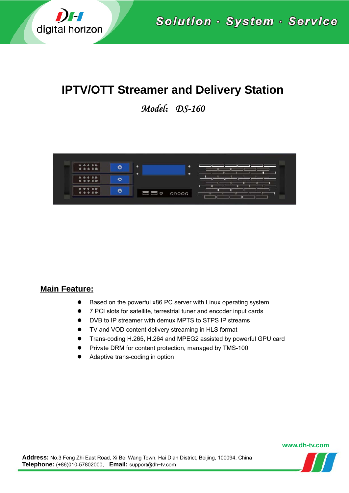

Solution · System · Service

# **IPTV/OTT Streamer and Delivery Station**

*Model*:*DS-160* 



## **Main Feature:**

- Based on the powerful x86 PC server with Linux operating system
- 7 PCI slots for satellite, terrestrial tuner and encoder input cards
- DVB to IP streamer with demux MPTS to STPS IP streams
- TV and VOD content delivery streaming in HLS format
- Trans-coding H.265, H.264 and MPEG2 assisted by powerful GPU card
- Private DRM for content protection, managed by TMS-100
- Adaptive trans-coding in option

#### **www.dh-tv.com**

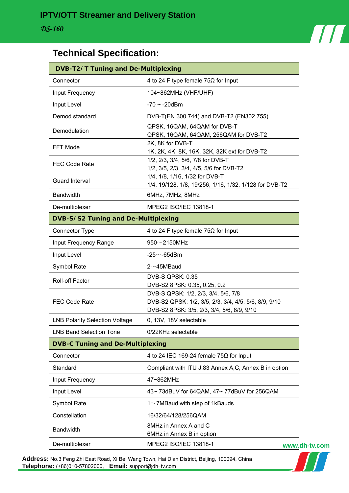

# **Technical Specification:**

| <b>DVB-T2/T Tuning and De-Multiplexing</b> |                                                                     |  |
|--------------------------------------------|---------------------------------------------------------------------|--|
| Connector                                  | 4 to 24 F type female 75 $\Omega$ for Input                         |  |
| Input Frequency                            | 104~862MHz (VHF/UHF)                                                |  |
| Input Level                                | $-70 \sim -20$ dBm                                                  |  |
| Demod standard                             | DVB-T(EN 300 744) and DVB-T2 (EN302 755)                            |  |
| Demodulation<br>FFT Mode                   | QPSK, 16QAM, 64QAM for DVB-T                                        |  |
|                                            | QPSK, 16QAM, 64QAM, 256QAM for DVB-T2                               |  |
|                                            | 2K, 8K for DVB-T<br>1K, 2K, 4K, 8K, 16K, 32K, 32K ext for DVB-T2    |  |
| <b>FEC Code Rate</b>                       | 1/2, 2/3, 3/4, 5/6, 7/8 for DVB-T                                   |  |
|                                            | 1/2, 3/5, 2/3, 3/4, 4/5, 5/6 for DVB-T2                             |  |
| Guard Interval                             | 1/4, 1/8, 1/16, 1/32 for DVB-T                                      |  |
|                                            | 1/4, 19/128, 1/8, 19/256, 1/16, 1/32, 1/128 for DVB-T2              |  |
| <b>Bandwidth</b>                           | 6MHz, 7MHz, 8MHz                                                    |  |
| De-multiplexer                             | MPEG2 ISO/IEC 13818-1                                               |  |
| DVB-S/S2 Tuning and De-Multiplexing        |                                                                     |  |
| Connector Type                             | 4 to 24 F type female 75 $\Omega$ for Input                         |  |
| Input Frequency Range                      | $950\sim$ 2150MHz                                                   |  |
| Input Level                                | -25 $\sim$ -65dBm                                                   |  |
| Symbol Rate                                | $2 \sim 45$ MBaud                                                   |  |
| Roll-off Factor                            | <b>DVB-S QPSK: 0.35</b>                                             |  |
|                                            | DVB-S2 8PSK: 0.35, 0.25, 0.2<br>DVB-S QPSK: 1/2, 2/3, 3/4, 5/6, 7/8 |  |
| <b>FEC Code Rate</b>                       | DVB-S2 QPSK: 1/2, 3/5, 2/3, 3/4, 4/5, 5/6, 8/9, 9/10                |  |
|                                            | DVB-S2 8PSK: 3/5, 2/3, 3/4, 5/6, 8/9, 9/10                          |  |
| <b>LNB Polarity Selection Voltage</b>      | 0, 13V, 18V selectable                                              |  |
| <b>LNB Band Selection Tone</b>             | 0/22KHz selectable                                                  |  |
| <b>DVB-C Tuning and De-Multiplexing</b>    |                                                                     |  |
| Connector                                  | 4 to 24 IEC 169-24 female $75\Omega$ for Input                      |  |
| Standard                                   | Compliant with ITU J.83 Annex A,C, Annex B in option                |  |
| Input Frequency                            | 47~862MHz                                                           |  |
| Input Level                                | 43~73dBuV for 64QAM, 47~77dBuV for 256QAM                           |  |
| Symbol Rate                                | 1 $\sim$ 7MBaud with step of 1kBauds                                |  |
| Constellation                              | 16/32/64/128/256QAM                                                 |  |
| <b>Bandwidth</b>                           | 8MHz in Annex A and C                                               |  |
|                                            | 6MHz in Annex B in option                                           |  |
| De-multiplexer                             | MPEG2 ISO/IEC 13818-1<br><b>www.c</b>                               |  |

**Address:** No.3 Feng Zhi East Road, Xi Bei Wang Town, Hai Dian District, Beijing, 100094, China **Telephone:** (+86)010-57802000, **Email:** support@dh-tv.com

**www.dh-tv.com**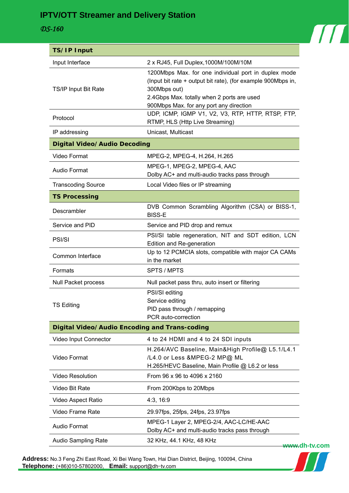# **IPTV/OTT Streamer and Delivery Station**

#### *DS-160*



| <b>TS/IP Input</b>                                   |                                                                                                                                                                                                                               |  |
|------------------------------------------------------|-------------------------------------------------------------------------------------------------------------------------------------------------------------------------------------------------------------------------------|--|
| Input Interface                                      | 2 x RJ45, Full Duplex, 1000M/100M/10M                                                                                                                                                                                         |  |
| TS/IP Input Bit Rate                                 | 1200Mbps Max. for one individual port in duplex mode<br>(Input bit rate + output bit rate), (for example 900Mbps in,<br>300Mbps out)<br>2.4Gbps Max. totally when 2 ports are used<br>900Mbps Max. for any port any direction |  |
| Protocol                                             | UDP, ICMP, IGMP V1, V2, V3, RTP, HTTP, RTSP, FTP,<br>RTMP, HLS (Http Live Streaming)                                                                                                                                          |  |
| IP addressing                                        | Unicast, Multicast                                                                                                                                                                                                            |  |
| Digital Video/Audio Decoding                         |                                                                                                                                                                                                                               |  |
| Video Format                                         | MPEG-2, MPEG-4, H.264, H.265                                                                                                                                                                                                  |  |
| <b>Audio Format</b>                                  | MPEG-1, MPEG-2, MPEG-4, AAC<br>Dolby AC+ and multi-audio tracks pass through                                                                                                                                                  |  |
| <b>Transcoding Source</b>                            | Local Video files or IP streaming                                                                                                                                                                                             |  |
| <b>TS Processing</b>                                 |                                                                                                                                                                                                                               |  |
| Descrambler                                          | DVB Common Scrambling Algorithm (CSA) or BISS-1,<br><b>BISS-E</b>                                                                                                                                                             |  |
| Service and PID                                      | Service and PID drop and remux                                                                                                                                                                                                |  |
| PSI/SI                                               | PSI/SI table regeneration, NIT and SDT edition, LCN<br>Edition and Re-generation                                                                                                                                              |  |
| Common Interface                                     | Up to 12 PCMCIA slots, compatible with major CA CAMs<br>in the market                                                                                                                                                         |  |
| Formats                                              | SPTS / MPTS                                                                                                                                                                                                                   |  |
| <b>Null Packet process</b>                           | Null packet pass thru, auto insert or filtering                                                                                                                                                                               |  |
| <b>TS Editing</b>                                    | PSI/SI editing<br>Service editing<br>PID pass through / remapping<br>PCR auto-correction                                                                                                                                      |  |
| <b>Digital Video/Audio Encoding and Trans-coding</b> |                                                                                                                                                                                                                               |  |
| Video Input Connector                                | 4 to 24 HDMI and 4 to 24 SDI inputs                                                                                                                                                                                           |  |
| Video Format                                         | H.264/AVC Baseline, Main&High Profile@ L5.1/L4.1<br>/L4.0 or Less &MPEG-2 MP@ ML<br>H.265/HEVC Baseline, Main Profile @ L6.2 or less                                                                                          |  |
| <b>Video Resolution</b>                              | From 96 x 96 to 4096 x 2160                                                                                                                                                                                                   |  |
| Video Bit Rate                                       | From 200Kbps to 20Mbps                                                                                                                                                                                                        |  |
| Video Aspect Ratio                                   | 4:3, 16:9                                                                                                                                                                                                                     |  |
| Video Frame Rate                                     | 29.97fps, 25fps, 24fps, 23.97fps                                                                                                                                                                                              |  |
| Audio Format                                         | MPEG-1 Layer 2, MPEG-2/4, AAC-LC/HE-AAC<br>Dolby AC+ and multi-audio tracks pass through                                                                                                                                      |  |
| Audio Sampling Rate                                  | 32 KHz, 44.1 KHz, 48 KHz<br><del>www.</del> dh-tv.com                                                                                                                                                                         |  |

**Address:** No.3 Feng Zhi East Road, Xi Bei Wang Town, Hai Dian District, Beijing, 100094, China **Telephone:** (+86)010-57802000, **Email:** support@dh-tv.com